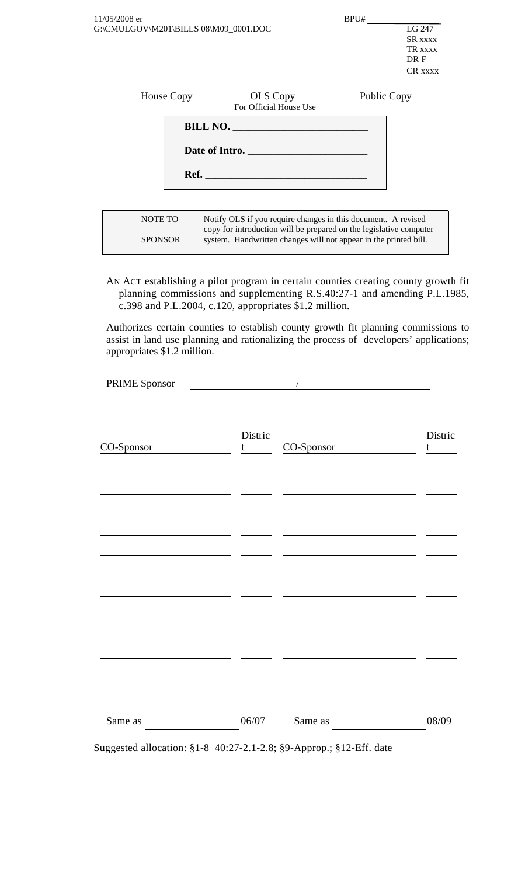| 11/05/2008 er<br>G:\CMULGOV\M201\BILLS 08\M09_0001.DOC |                                                                                                                                                                                                         | BPU#        | LG 247<br>SR xxxx<br>TR XXXX<br>DR F<br>CR xxxx |
|--------------------------------------------------------|---------------------------------------------------------------------------------------------------------------------------------------------------------------------------------------------------------|-------------|-------------------------------------------------|
| House Copy                                             | <b>OLS</b> Copy<br>For Official House Use                                                                                                                                                               | Public Copy |                                                 |
|                                                        | BILL NO.                                                                                                                                                                                                |             |                                                 |
| Date of Intro.                                         |                                                                                                                                                                                                         |             |                                                 |
|                                                        | Ref.                                                                                                                                                                                                    |             |                                                 |
|                                                        |                                                                                                                                                                                                         |             |                                                 |
| <b>NOTE TO</b><br><b>SPONSOR</b>                       | Notify OLS if you require changes in this document. A revised<br>copy for introduction will be prepared on the legislative computer<br>system. Handwritten changes will not appear in the printed bill. |             |                                                 |

AN ACT establishing a pilot program in certain counties creating county growth fit planning commissions and supplementing R.S.40:27-1 and amending P.L.1985, c.398 and P.L.2004, c.120, appropriates \$1.2 million.

Authorizes certain counties to establish county growth fit planning commissions to assist in land use planning and rationalizing the process of developers' applications; appropriates \$1.2 million.

PRIME Sponsor

| CO-Sponsor | Distric<br>t | CO-Sponsor | Distric<br>t |
|------------|--------------|------------|--------------|
|            |              |            |              |
|            |              |            |              |
|            |              |            |              |
|            |              |            |              |
|            |              |            |              |
|            |              |            |              |
| Same as    | 06/07        | Same as    | 08/09        |

Suggested allocation: §1-8 40:27-2.1-2.8; §9-Approp.; §12-Eff. date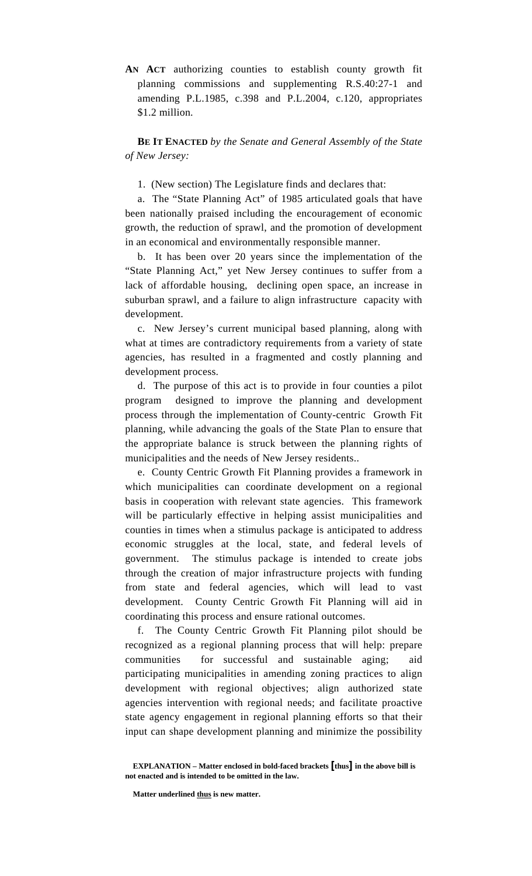**AN ACT** authorizing counties to establish county growth fit planning commissions and supplementing R.S.40:27-1 and amending P.L.1985, c.398 and P.L.2004, c.120, appropriates \$1.2 million.

**BE IT ENACTED** *by the Senate and General Assembly of the State of New Jersey:*

1. (New section) The Legislature finds and declares that:

a. The "State Planning Act" of 1985 articulated goals that have been nationally praised including the encouragement of economic growth, the reduction of sprawl, and the promotion of development in an economical and environmentally responsible manner.

b. It has been over 20 years since the implementation of the "State Planning Act," yet New Jersey continues to suffer from a lack of affordable housing, declining open space, an increase in suburban sprawl, and a failure to align infrastructure capacity with development.

c. New Jersey's current municipal based planning, along with what at times are contradictory requirements from a variety of state agencies, has resulted in a fragmented and costly planning and development process.

d. The purpose of this act is to provide in four counties a pilot program designed to improve the planning and development process through the implementation of County-centric Growth Fit planning, while advancing the goals of the State Plan to ensure that the appropriate balance is struck between the planning rights of municipalities and the needs of New Jersey residents..

e. County Centric Growth Fit Planning provides a framework in which municipalities can coordinate development on a regional basis in cooperation with relevant state agencies. This framework will be particularly effective in helping assist municipalities and counties in times when a stimulus package is anticipated to address economic struggles at the local, state, and federal levels of government. The stimulus package is intended to create jobs through the creation of major infrastructure projects with funding from state and federal agencies, which will lead to vast development. County Centric Growth Fit Planning will aid in coordinating this process and ensure rational outcomes.

f. The County Centric Growth Fit Planning pilot should be recognized as a regional planning process that will help: prepare communities for successful and sustainable aging; aid participating municipalities in amending zoning practices to align development with regional objectives; align authorized state agencies intervention with regional needs; and facilitate proactive state agency engagement in regional planning efforts so that their input can shape development planning and minimize the possibility

**EXPLANATION – Matter enclosed in bold-faced brackets [thus] in the above bill is not enacted and is intended to be omitted in the law.**

Matter underlined thus is new matter.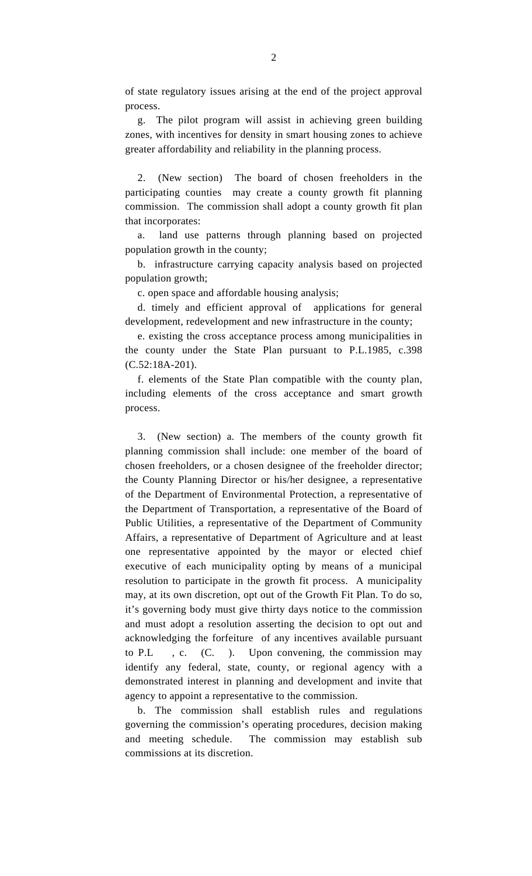of state regulatory issues arising at the end of the project approval process.

 g. The pilot program will assist in achieving green building zones, with incentives for density in smart housing zones to achieve greater affordability and reliability in the planning process.

 2. (New section) The board of chosen freeholders in the participating counties may create a county growth fit planning commission. The commission shall adopt a county growth fit plan that incorporates:

 a. land use patterns through planning based on projected population growth in the county;

 b. infrastructure carrying capacity analysis based on projected population growth;

c. open space and affordable housing analysis;

 d. timely and efficient approval of applications for general development, redevelopment and new infrastructure in the county;

 e. existing the cross acceptance process among municipalities in the county under the State Plan pursuant to P.L.1985, c.398 (C.52:18A-201).

 f. elements of the State Plan compatible with the county plan, including elements of the cross acceptance and smart growth process.

 3. (New section) a. The members of the county growth fit planning commission shall include: one member of the board of chosen freeholders, or a chosen designee of the freeholder director; the County Planning Director or his/her designee, a representative of the Department of Environmental Protection, a representative of the Department of Transportation, a representative of the Board of Public Utilities, a representative of the Department of Community Affairs, a representative of Department of Agriculture and at least one representative appointed by the mayor or elected chief executive of each municipality opting by means of a municipal resolution to participate in the growth fit process. A municipality may, at its own discretion, opt out of the Growth Fit Plan. To do so, it's governing body must give thirty days notice to the commission and must adopt a resolution asserting the decision to opt out and acknowledging the forfeiture of any incentives available pursuant to P.L , c. (C. ). Upon convening, the commission may identify any federal, state, county, or regional agency with a demonstrated interest in planning and development and invite that agency to appoint a representative to the commission.

 b. The commission shall establish rules and regulations governing the commission's operating procedures, decision making and meeting schedule. The commission may establish sub commissions at its discretion.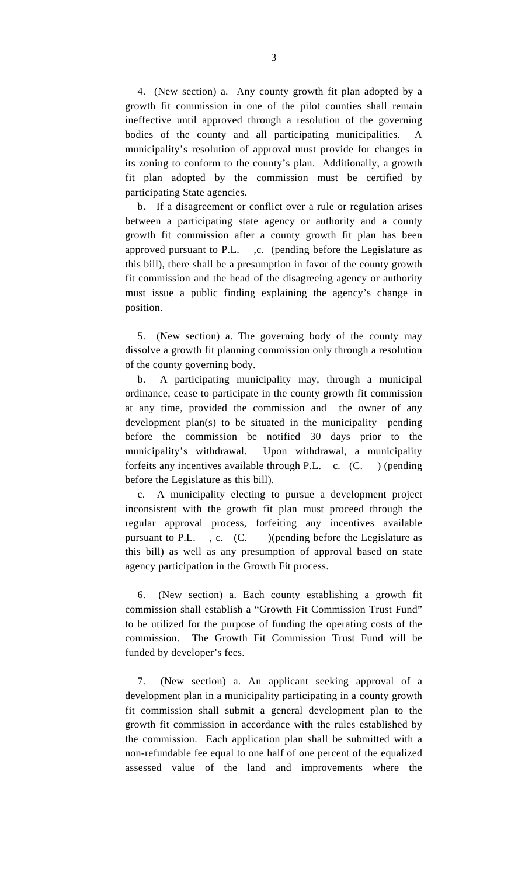4. (New section) a. Any county growth fit plan adopted by a growth fit commission in one of the pilot counties shall remain ineffective until approved through a resolution of the governing bodies of the county and all participating municipalities. A municipality's resolution of approval must provide for changes in its zoning to conform to the county's plan. Additionally, a growth fit plan adopted by the commission must be certified by participating State agencies.

 b. If a disagreement or conflict over a rule or regulation arises between a participating state agency or authority and a county growth fit commission after a county growth fit plan has been approved pursuant to P.L. ,c. (pending before the Legislature as this bill), there shall be a presumption in favor of the county growth fit commission and the head of the disagreeing agency or authority must issue a public finding explaining the agency's change in position.

 5. (New section) a. The governing body of the county may dissolve a growth fit planning commission only through a resolution of the county governing body.

 b. A participating municipality may, through a municipal ordinance, cease to participate in the county growth fit commission at any time, provided the commission and the owner of any development plan(s) to be situated in the municipality pending before the commission be notified 30 days prior to the municipality's withdrawal. Upon withdrawal, a municipality forfeits any incentives available through P.L. c. (C. ) (pending before the Legislature as this bill).

 c. A municipality electing to pursue a development project inconsistent with the growth fit plan must proceed through the regular approval process, forfeiting any incentives available pursuant to P.L., c. (C.) (pending before the Legislature as this bill) as well as any presumption of approval based on state agency participation in the Growth Fit process.

 6. (New section) a. Each county establishing a growth fit commission shall establish a "Growth Fit Commission Trust Fund" to be utilized for the purpose of funding the operating costs of the commission. The Growth Fit Commission Trust Fund will be funded by developer's fees.

 7. (New section) a. An applicant seeking approval of a development plan in a municipality participating in a county growth fit commission shall submit a general development plan to the growth fit commission in accordance with the rules established by the commission. Each application plan shall be submitted with a non-refundable fee equal to one half of one percent of the equalized assessed value of the land and improvements where the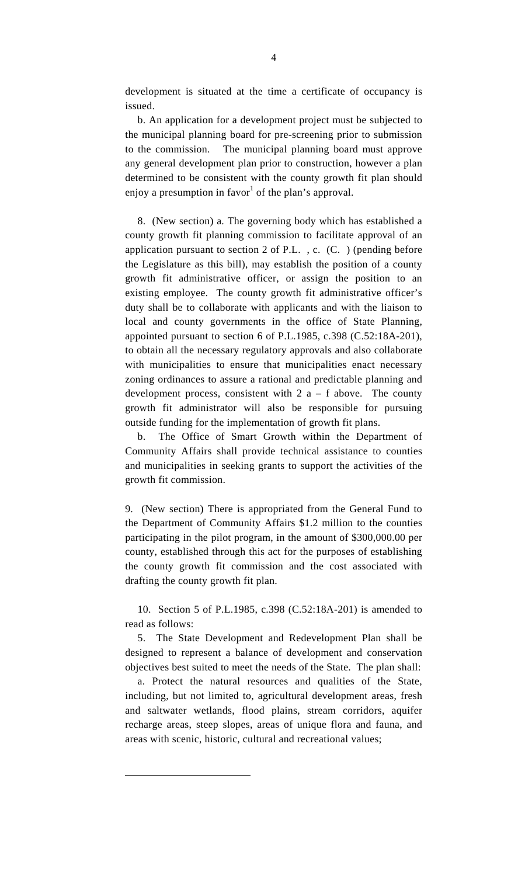<span id="page-4-0"></span>development is situated at the time a certificate of occupancy is issued.

 b. An application for a development project must be subjected to the municipal planning board for pre-screening prior to submission to the commission. The municipal planning board must approve any general development plan prior to construction, however a plan determined to be consistent with the county growth fit plan should enjoy a presumption in favor<sup>1</sup> [o](#page-4-0)f the plan's approval.

 8. (New section) a. The governing body which has established a county growth fit planning commission to facilitate approval of an application pursuant to section 2 of P.L. , c. (C. ) (pending before the Legislature as this bill), may establish the position of a county growth fit administrative officer, or assign the position to an existing employee. The county growth fit administrative officer's duty shall be to collaborate with applicants and with the liaison to local and county governments in the office of State Planning, appointed pursuant to section 6 of P.L.1985, c.398 (C.52:18A-201), to obtain all the necessary regulatory approvals and also collaborate with municipalities to ensure that municipalities enact necessary zoning ordinances to assure a rational and predictable planning and development process, consistent with  $2a - f$  above. The county growth fit administrator will also be responsible for pursuing outside funding for the implementation of growth fit plans.

 b. The Office of Smart Growth within the Department of Community Affairs shall provide technical assistance to counties and municipalities in seeking grants to support the activities of the growth fit commission.

9. (New section) There is appropriated from the General Fund to the Department of Community Affairs \$1.2 million to the counties participating in the pilot program, in the amount of \$300,000.00 per county, established through this act for the purposes of establishing the county growth fit commission and the cost associated with drafting the county growth fit plan.

 10. Section 5 of P.L.1985, c.398 (C.52:18A-201) is amended to read as follows:

 5. The State Development and Redevelopment Plan shall be designed to represent a balance of development and conservation objectives best suited to meet the needs of the State. The plan shall:

 a. Protect the natural resources and qualities of the State, including, but not limited to, agricultural development areas, fresh and saltwater wetlands, flood plains, stream corridors, aquifer recharge areas, steep slopes, areas of unique flora and fauna, and areas with scenic, historic, cultural and recreational values;

 $\overline{a}$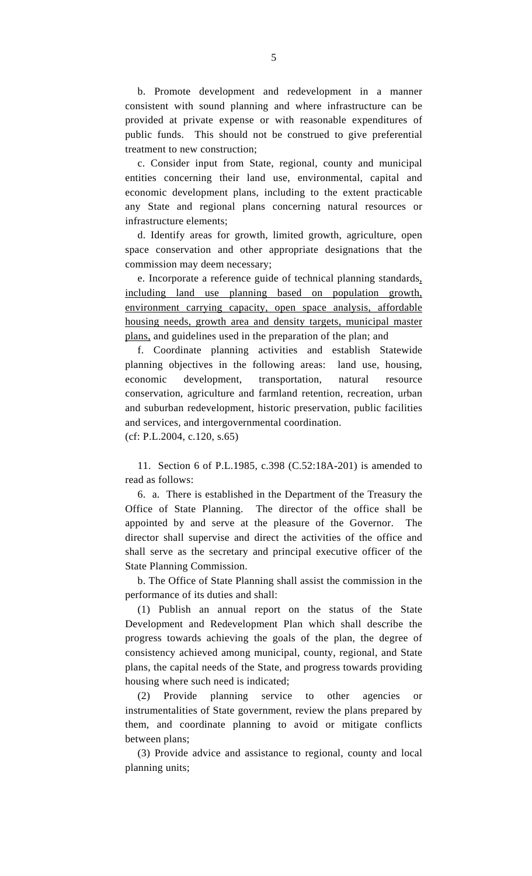b. Promote development and redevelopment in a manner consistent with sound planning and where infrastructure can be provided at private expense or with reasonable expenditures of public funds. This should not be construed to give preferential treatment to new construction;

 c. Consider input from State, regional, county and municipal entities concerning their land use, environmental, capital and economic development plans, including to the extent practicable any State and regional plans concerning natural resources or infrastructure elements;

 d. Identify areas for growth, limited growth, agriculture, open space conservation and other appropriate designations that the commission may deem necessary;

 e. Incorporate a reference guide of technical planning standards, including land use planning based on population growth, environment carrying capacity, open space analysis, affordable housing needs, growth area and density targets, municipal master plans, and guidelines used in the preparation of the plan; and

 f. Coordinate planning activities and establish Statewide planning objectives in the following areas: land use, housing, economic development, transportation, natural resource conservation, agriculture and farmland retention, recreation, urban and suburban redevelopment, historic preservation, public facilities and services, and intergovernmental coordination.

(cf: P.L.2004, c.120, s.65)

 11. Section 6 of P.L.1985, c.398 (C.52:18A-201) is amended to read as follows:

 6. a. There is established in the Department of the Treasury the Office of State Planning. The director of the office shall be appointed by and serve at the pleasure of the Governor. The director shall supervise and direct the activities of the office and shall serve as the secretary and principal executive officer of the State Planning Commission.

 b. The Office of State Planning shall assist the commission in the performance of its duties and shall:

 (1) Publish an annual report on the status of the State Development and Redevelopment Plan which shall describe the progress towards achieving the goals of the plan, the degree of consistency achieved among municipal, county, regional, and State plans, the capital needs of the State, and progress towards providing housing where such need is indicated;

 (2) Provide planning service to other agencies or instrumentalities of State government, review the plans prepared by them, and coordinate planning to avoid or mitigate conflicts between plans;

 (3) Provide advice and assistance to regional, county and local planning units;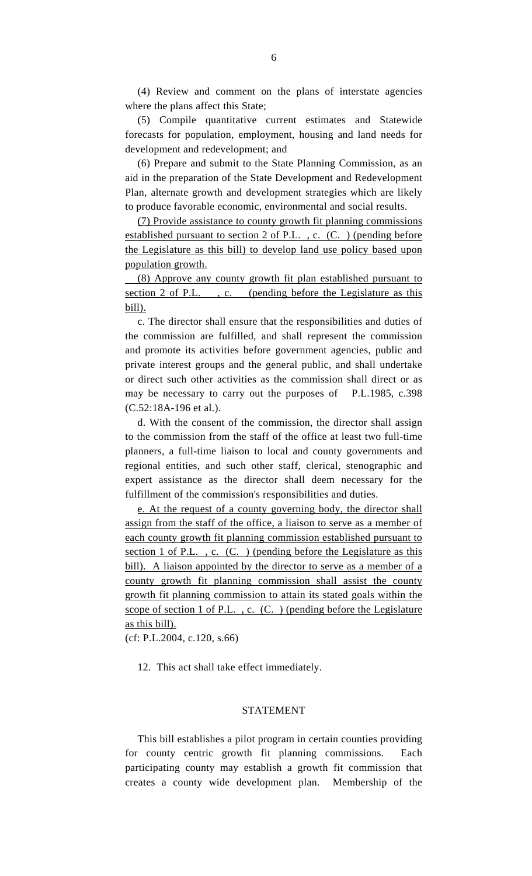(4) Review and comment on the plans of interstate agencies where the plans affect this State;

 (5) Compile quantitative current estimates and Statewide forecasts for population, employment, housing and land needs for development and redevelopment; and

 (6) Prepare and submit to the State Planning Commission, as an aid in the preparation of the State Development and Redevelopment Plan, alternate growth and development strategies which are likely to produce favorable economic, environmental and social results.

(7) Provide assistance to county growth fit planning commissions established pursuant to section 2 of P.L. , c. (C. ) (pending before the Legislature as this bill) to develop land use policy based upon population growth.

 (8) Approve any county growth fit plan established pursuant to section 2 of P.L., c. (pending before the Legislature as this bill).

 c. The director shall ensure that the responsibilities and duties of the commission are fulfilled, and shall represent the commission and promote its activities before government agencies, public and private interest groups and the general public, and shall undertake or direct such other activities as the commission shall direct or as may be necessary to carry out the purposes of P.L.1985, c.398 (C.52:18A-196 et al.).

 d. With the consent of the commission, the director shall assign to the commission from the staff of the office at least two full-time planners, a full-time liaison to local and county governments and regional entities, and such other staff, clerical, stenographic and expert assistance as the director shall deem necessary for the fulfillment of the commission's responsibilities and duties.

e. At the request of a county governing body, the director shall assign from the staff of the office, a liaison to serve as a member of each county growth fit planning commission established pursuant to section 1 of P.L., c. (C.) (pending before the Legislature as this bill). A liaison appointed by the director to serve as a member of a county growth fit planning commission shall assist the county growth fit planning commission to attain its stated goals within the scope of section 1 of P.L. , c. (C. ) (pending before the Legislature as this bill).

(cf: P.L.2004, c.120, s.66)

12. This act shall take effect immediately.

## STATEMENT

 This bill establishes a pilot program in certain counties providing for county centric growth fit planning commissions. Each participating county may establish a growth fit commission that creates a county wide development plan. Membership of the